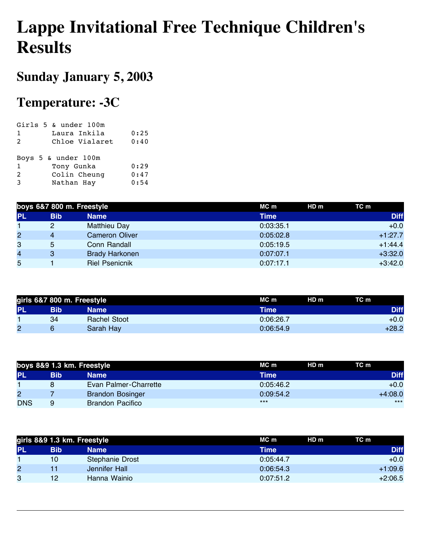## **Lappe Invitational Free Technique Children's Results**

## **Sunday January 5, 2003**

## **Temperature: -3C**

|                | Girls $5 \text{ }\text{\&}$ under $100 \text{m}$ |      |
|----------------|--------------------------------------------------|------|
| $\mathbf{1}$   | Laura Inkila                                     | 0:25 |
| $\overline{2}$ | Chloe Vialaret                                   | 0:40 |
|                |                                                  |      |
|                | Boys 5 & under 100m                              |      |
| $\mathbf{1}$   | Tony Gunka                                       | 0:29 |
| 2              | Colin Cheung                                     | 0:47 |
| 3              | Nathan Hay                                       | 0:54 |
|                |                                                  |      |

| boys 6&7 800 m. Freestyle |            |                       | $MC$ m    | HD m | TC m        |
|---------------------------|------------|-----------------------|-----------|------|-------------|
| <b>PL</b>                 | <b>Bib</b> | <b>Name</b>           | Time      |      | <b>Diff</b> |
|                           | 2          | <b>Matthieu Day</b>   | 0:03:35.1 |      | $+0.0$      |
| $\overline{2}$            | 4          | <b>Cameron Oliver</b> | 0:05:02.8 |      | $+1:27.7$   |
| 3                         | 5          | Conn Randall          | 0:05:19.5 |      | $+1:44.4$   |
| $\overline{4}$            | 3          | <b>Brady Harkonen</b> | 0:07:07.1 |      | $+3:32.0$   |
| 5                         |            | <b>Riel Psenicnik</b> | 0:07:17.1 |      | $+3:42.0$   |

|           | girls 6&7 800 m. Freestyle |                     | MC m      | HD <sub>m</sub> | TC m        |
|-----------|----------------------------|---------------------|-----------|-----------------|-------------|
| <b>PL</b> | Bib                        | Name                | Time      |                 | <b>Diff</b> |
|           | 34                         | <b>Rachel Stoot</b> | 0:06:26.7 |                 | $+0.0$      |
| 2         | 6                          | Sarah Hay           | 0:06:54.9 |                 | +28.2       |

| boys 8&9 1.3 km. Freestyle |     |                         | MC m        | HD <sub>m</sub> | TC m        |
|----------------------------|-----|-------------------------|-------------|-----------------|-------------|
| <b>PL</b>                  | Bib | Name                    | <b>Time</b> |                 | <b>Diff</b> |
|                            | 8   | Evan Palmer-Charrette   | 0:05:46.2   |                 | $+0.0$      |
| $\overline{c}$             |     | <b>Brandon Bosinger</b> | 0:09:54.2   |                 | $+4:08.0$   |
| <b>DNS</b>                 | 9   | <b>Brandon Pacifico</b> | $***$       |                 | $***$       |

| girls 8&9 1.3 km. Freestyle |     |                 | HD m<br>MC m | TC m        |
|-----------------------------|-----|-----------------|--------------|-------------|
| <b>PL</b>                   | Bib | Name            | <b>Time</b>  | <b>Diff</b> |
|                             | 10  | Stephanie Drost | 0:05:44.7    | $+0.0$      |
| 2                           |     | Jennifer Hall   | 0:06:54.3    | $+1:09.6$   |
| 3                           | 12  | Hanna Wainio    | 0:07:51.2    | $+2:06.5$   |